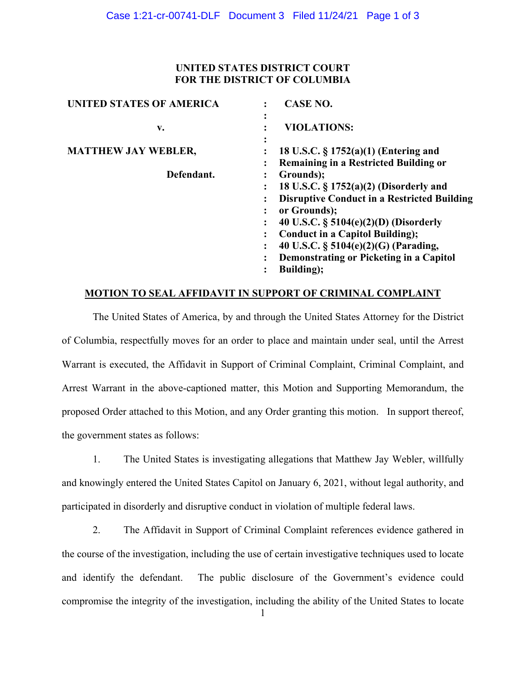## **UNITED STATES DISTRICT COURT FOR THE DISTRICT OF COLUMBIA**

| <b>UNITED STATES OF AMERICA</b> | CASE NO.<br>٠                                                                                     |
|---------------------------------|---------------------------------------------------------------------------------------------------|
| v.                              | $\bullet$<br><b>VIOLATIONS:</b><br>٠                                                              |
| <b>MATTHEW JAY WEBLER,</b>      | $\bullet$<br>18 U.S.C. § 1752(a)(1) (Entering and<br><b>Remaining in a Restricted Building or</b> |
| Defendant.                      | Grounds);<br>18 U.S.C. $\S 1752(a)(2)$ (Disorderly and<br>፡                                       |
|                                 | <b>Disruptive Conduct in a Restricted Building</b><br>or Grounds);                                |
|                                 | 40 U.S.C. $\S$ 5104(e)(2)(D) (Disorderly<br>፡                                                     |
|                                 | <b>Conduct in a Capitol Building);</b><br>40 U.S.C. § 5104(e)(2)(G) (Parading,<br>፡               |
|                                 | Demonstrating or Picketing in a Capitol<br>$\ddot{\cdot}$                                         |
|                                 | <b>Building</b> );                                                                                |

## **MOTION TO SEAL AFFIDAVIT IN SUPPORT OF CRIMINAL COMPLAINT**

The United States of America, by and through the United States Attorney for the District of Columbia, respectfully moves for an order to place and maintain under seal, until the Arrest Warrant is executed, the Affidavit in Support of Criminal Complaint, Criminal Complaint, and Arrest Warrant in the above-captioned matter, this Motion and Supporting Memorandum, the proposed Order attached to this Motion, and any Order granting this motion. In support thereof, the government states as follows:

1. The United States is investigating allegations that Matthew Jay Webler, willfully and knowingly entered the United States Capitol on January 6, 2021, without legal authority, and participated in disorderly and disruptive conduct in violation of multiple federal laws.

2. The Affidavit in Support of Criminal Complaint references evidence gathered in the course of the investigation, including the use of certain investigative techniques used to locate and identify the defendant. The public disclosure of the Government's evidence could compromise the integrity of the investigation, including the ability of the United States to locate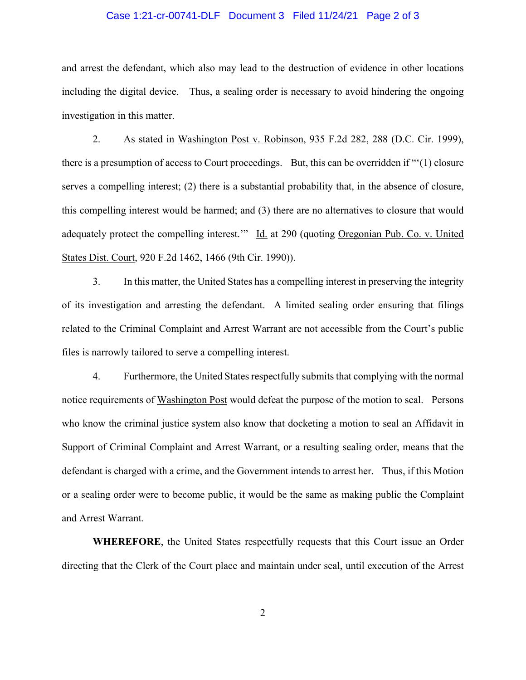### Case 1:21-cr-00741-DLF Document 3 Filed 11/24/21 Page 2 of 3

and arrest the defendant, which also may lead to the destruction of evidence in other locations including the digital device. Thus, a sealing order is necessary to avoid hindering the ongoing investigation in this matter.

2. As stated in Washington Post v. Robinson, 935 F.2d 282, 288 (D.C. Cir. 1999), there is a presumption of access to Court proceedings. But, this can be overridden if "'(1) closure serves a compelling interest; (2) there is a substantial probability that, in the absence of closure, this compelling interest would be harmed; and (3) there are no alternatives to closure that would adequately protect the compelling interest.'" Id. at 290 (quoting Oregonian Pub. Co. v. United States Dist. Court, 920 F.2d 1462, 1466 (9th Cir. 1990)).

3. In this matter, the United States has a compelling interest in preserving the integrity of its investigation and arresting the defendant. A limited sealing order ensuring that filings related to the Criminal Complaint and Arrest Warrant are not accessible from the Court's public files is narrowly tailored to serve a compelling interest.

4. Furthermore, the United States respectfully submits that complying with the normal notice requirements of Washington Post would defeat the purpose of the motion to seal. Persons who know the criminal justice system also know that docketing a motion to seal an Affidavit in Support of Criminal Complaint and Arrest Warrant, or a resulting sealing order, means that the defendant is charged with a crime, and the Government intends to arrest her. Thus, if this Motion or a sealing order were to become public, it would be the same as making public the Complaint and Arrest Warrant.

**WHEREFORE**, the United States respectfully requests that this Court issue an Order directing that the Clerk of the Court place and maintain under seal, until execution of the Arrest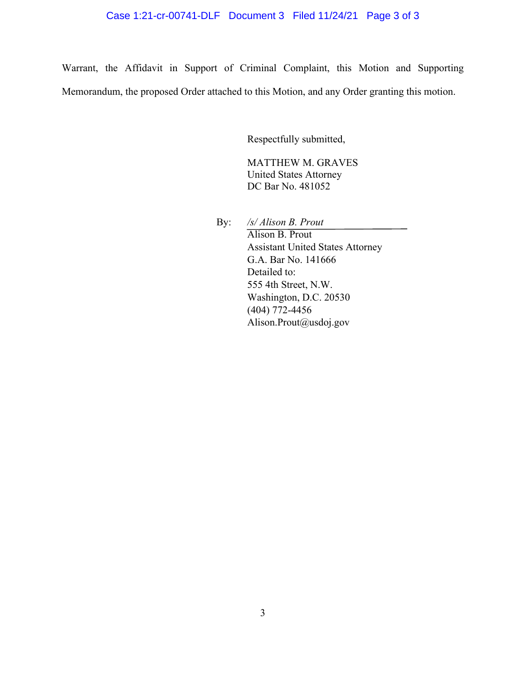# Case 1:21-cr-00741-DLF Document 3 Filed 11/24/21 Page 3 of 3

Warrant, the Affidavit in Support of Criminal Complaint, this Motion and Supporting Memorandum, the proposed Order attached to this Motion, and any Order granting this motion.

Respectfully submitted,

MATTHEW M. GRAVES United States Attorney DC Bar No. 481052

By: */s/ Alison B. Prout* Alison B. Prout Assistant United States Attorney G.A. Bar No. 141666 Detailed to: 555 4th Street, N.W. Washington, D.C. 20530 (404) 772-4456 Alison.Prout@usdoj.gov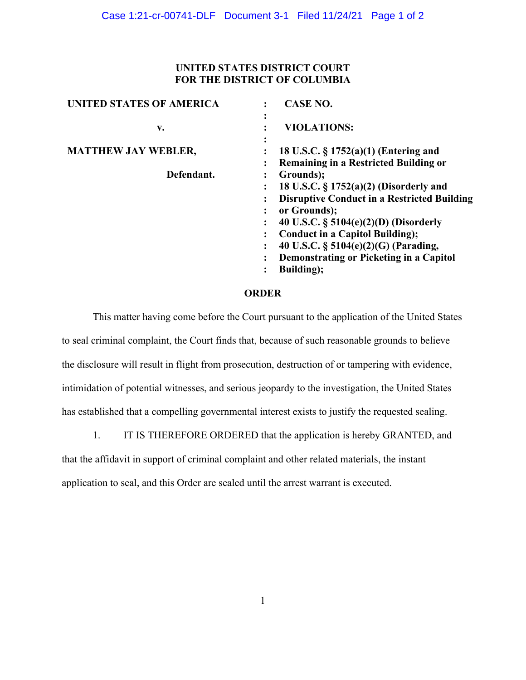# **UNITED STATES DISTRICT COURT FOR THE DISTRICT OF COLUMBIA**

| <b>UNITED STATES OF AMERICA</b> | <b>CASE NO.</b>                                                                                             |
|---------------------------------|-------------------------------------------------------------------------------------------------------------|
| v.                              | $\ddot{\cdot}$<br><b>VIOLATIONS:</b><br>٠                                                                   |
| <b>MATTHEW JAY WEBLER,</b>      | $\ddot{\cdot}$<br>18 U.S.C. § 1752(a)(1) (Entering and<br><b>Remaining in a Restricted Building or</b><br>፡ |
| Defendant.                      | Grounds);<br>፡<br>18 U.S.C. $\S 1752(a)(2)$ (Disorderly and<br>፡                                            |
|                                 | <b>Disruptive Conduct in a Restricted Building</b><br>$\bullet$<br>or Grounds);<br>$\ddot{\cdot}$           |
|                                 | 40 U.S.C. $\S$ 5104(e)(2)(D) (Disorderly<br>፡                                                               |
|                                 | <b>Conduct in a Capitol Building);</b><br>፡<br>40 U.S.C. § 5104(e)(2)(G) (Parading,<br>፡                    |
|                                 | Demonstrating or Picketing in a Capitol<br>፡<br>Building);                                                  |
|                                 |                                                                                                             |

#### **ORDER**

This matter having come before the Court pursuant to the application of the United States to seal criminal complaint, the Court finds that, because of such reasonable grounds to believe the disclosure will result in flight from prosecution, destruction of or tampering with evidence, intimidation of potential witnesses, and serious jeopardy to the investigation, the United States has established that a compelling governmental interest exists to justify the requested sealing.

1. IT IS THEREFORE ORDERED that the application is hereby GRANTED, and

that the affidavit in support of criminal complaint and other related materials, the instant

application to seal, and this Order are sealed until the arrest warrant is executed.